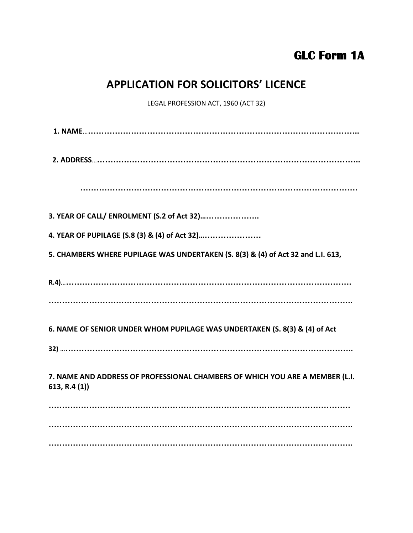## **GLC Form 1A**

## **APPLICATION FOR SOLICITORS' LICENCE**

LEGAL PROFESSION ACT, 1960 (ACT 32)

**1. NAME**…**………………………………………………………………………………………..**

**2. ADDRESS**…**……………………………………………………………………………………..**

 **………………………………………………………………………………………….**

**3. YEAR OF CALL/ ENROLMENT (S.2 of Act 32)…………………..**

**4. YEAR OF PUPILAGE (S.8 (3) & (4) of Act 32)……………………**

**5. CHAMBERS WHERE PUPILAGE WAS UNDERTAKEN (S. 8(3) & (4) of Act 32 and L.I. 613,**

**R.4)**…**…………………………………………………………………………………………….**

**…………………………………………………………………………………………………..**

**6. NAME OF SENIOR UNDER WHOM PUPILAGE WAS UNDERTAKEN (S. 8(3) & (4) of Act**

**32)** …**……………………………………………………………………………………………..**

**7. NAME AND ADDRESS OF PROFESSIONAL CHAMBERS OF WHICH YOU ARE A MEMBER (L.I. 613, R.4 (1))**

**…………………………………………………………………………………………………. ………………………………………………………………………………………………….. …………………………………………………………………………………………………..**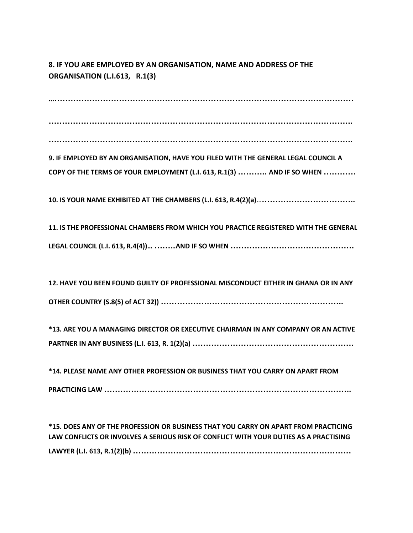## **8. IF YOU ARE EMPLOYED BY AN ORGANISATION, NAME AND ADDRESS OF THE ORGANISATION (L.I.613, R.1(3)**

**……………………………………………………………………………………………………**

**…………………………………………………………………………………………………..**

**…………………………………………………………………………………………………..**

**9. IF EMPLOYED BY AN ORGANISATION, HAVE YOU FILED WITH THE GENERAL LEGAL COUNCIL A COPY OF THE TERMS OF YOUR EMPLOYMENT (L.I. 613, R.1(3) ……….. AND IF SO WHEN …………**

**10. IS YOUR NAME EXHIBITED AT THE CHAMBERS (L.I. 613, R.4(2)(a)**…**……………………………..**

**11. IS THE PROFESSIONAL CHAMBERS FROM WHICH YOU PRACTICE REGISTERED WITH THE GENERAL LEGAL COUNCIL (L.I. 613, R.4(4))… ………AND IF SO WHEN ……………………………………….**

**12. HAVE YOU BEEN FOUND GUILTY OF PROFESSIONAL MISCONDUCT EITHER IN GHANA OR IN ANY OTHER COUNTRY (S.8(5) of ACT 32)) …………………………………………………………..**

**\*13. ARE YOU A MANAGING DIRECTOR OR EXECUTIVE CHAIRMAN IN ANY COMPANY OR AN ACTIVE PARTNER IN ANY BUSINESS (L.I. 613, R. 1(2)(a) ……………………………………………………**

**\*14. PLEASE NAME ANY OTHER PROFESSION OR BUSINESS THAT YOU CARRY ON APART FROM PRACTICING LAW ………………………………………………………………………………..**

**\*15. DOES ANY OF THE PROFESSION OR BUSINESS THAT YOU CARRY ON APART FROM PRACTICING LAW CONFLICTS OR INVOLVES A SERIOUS RISK OF CONFLICT WITH YOUR DUTIES AS A PRACTISING LAWYER (L.I. 613, R.1(2)(b) ………………………………………………………………………**